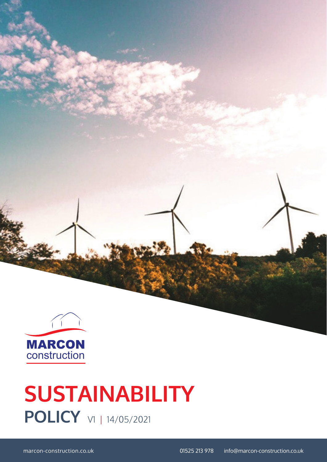

# **POLICY**  $\forall$  14/05/2021 **SUSTAINABILITY**